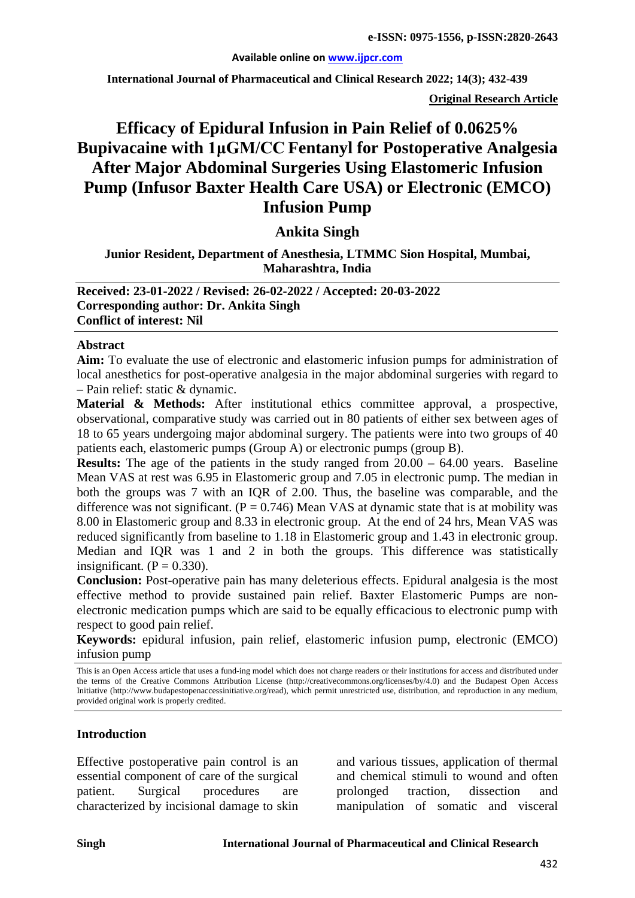#### **Available online on [www.ijpcr.com](http://www.ijpcr.com/)**

**International Journal of Pharmaceutical and Clinical Research 2022; 14(3); 432-439**

**Original Research Article**

# **Efficacy of Epidural Infusion in Pain Relief of 0.0625% Bupivacaine with 1μGM/CC Fentanyl for Postoperative Analgesia After Major Abdominal Surgeries Using Elastomeric Infusion Pump (Infusor Baxter Health Care USA) or Electronic (EMCO) Infusion Pump**

## **Ankita Singh**

**Junior Resident, Department of Anesthesia, LTMMC Sion Hospital, Mumbai, Maharashtra, India**

**Received: 23-01-2022 / Revised: 26-02-2022 / Accepted: 20-03-2022 Corresponding author: Dr. Ankita Singh Conflict of interest: Nil**

#### **Abstract**

**Aim:** To evaluate the use of electronic and elastomeric infusion pumps for administration of local anesthetics for post-operative analgesia in the major abdominal surgeries with regard to – Pain relief: static & dynamic.

**Material & Methods:** After institutional ethics committee approval, a prospective, observational, comparative study was carried out in 80 patients of either sex between ages of 18 to 65 years undergoing major abdominal surgery. The patients were into two groups of 40 patients each, elastomeric pumps (Group A) or electronic pumps (group B).

**Results:** The age of the patients in the study ranged from  $20.00 - 64.00$  years. Baseline Mean VAS at rest was 6.95 in Elastomeric group and 7.05 in electronic pump. The median in both the groups was 7 with an IQR of 2.00. Thus, the baseline was comparable, and the difference was not significant.  $(P = 0.746)$  Mean VAS at dynamic state that is at mobility was 8.00 in Elastomeric group and 8.33 in electronic group. At the end of 24 hrs, Mean VAS was reduced significantly from baseline to 1.18 in Elastomeric group and 1.43 in electronic group. Median and IQR was 1 and 2 in both the groups. This difference was statistically insignificant.  $(P = 0.330)$ .

**Conclusion:** Post-operative pain has many deleterious effects. Epidural analgesia is the most effective method to provide sustained pain relief. Baxter Elastomeric Pumps are nonelectronic medication pumps which are said to be equally efficacious to electronic pump with respect to good pain relief.

**Keywords:** epidural infusion, pain relief, elastomeric infusion pump, electronic (EMCO) infusion pump

This is an Open Access article that uses a fund-ing model which does not charge readers or their institutions for access and distributed under the terms of the Creative Commons Attribution License (http://creativecommons.org/licenses/by/4.0) and the Budapest Open Access Initiative (http://www.budapestopenaccessinitiative.org/read), which permit unrestricted use, distribution, and reproduction in any medium, provided original work is properly credited.

#### **Introduction**

Effective postoperative pain control is an essential component of care of the surgical patient. Surgical procedures are characterized by incisional damage to skin

and various tissues, application of thermal and chemical stimuli to wound and often prolonged traction, dissection and manipulation of somatic and visceral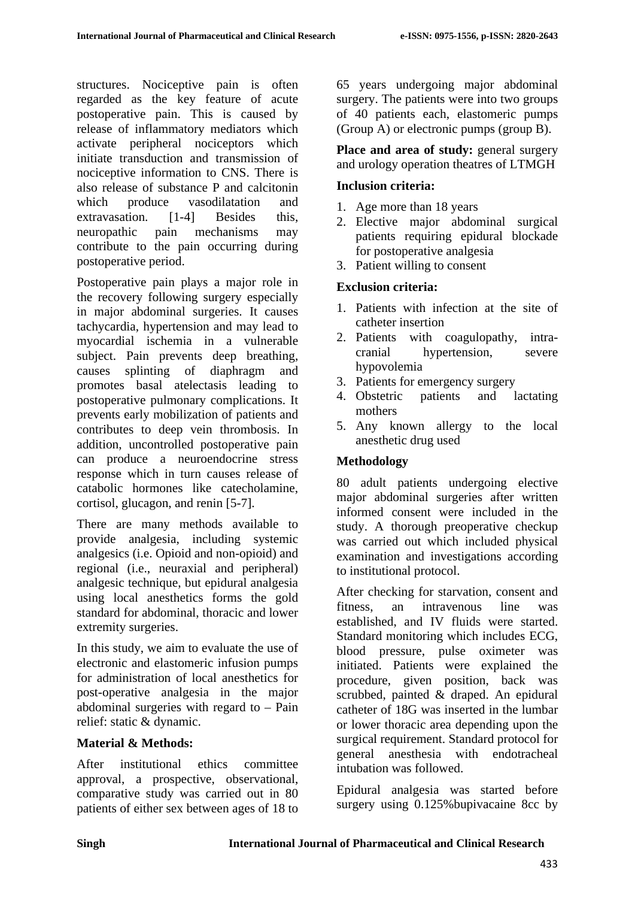structures. Nociceptive pain is often regarded as the key feature of acute postoperative pain. This is caused by release of inflammatory mediators which activate peripheral nociceptors which initiate transduction and transmission of nociceptive information to CNS. There is also release of substance P and calcitonin which produce vasodilatation and extravasation. [1-4] Besides this, neuropathic pain mechanisms may contribute to the pain occurring during postoperative period.

Postoperative pain plays a major role in the recovery following surgery especially in major abdominal surgeries. It causes tachycardia, hypertension and may lead to myocardial ischemia in a vulnerable subject. Pain prevents deep breathing, causes splinting of diaphragm and promotes basal atelectasis leading to postoperative pulmonary complications. It prevents early mobilization of patients and contributes to deep vein thrombosis. In addition, uncontrolled postoperative pain can produce a neuroendocrine stress response which in turn causes release of catabolic hormones like catecholamine, cortisol, glucagon, and renin [5-7].

There are many methods available to provide analgesia, including systemic analgesics (i.e. Opioid and non-opioid) and regional (i.e., neuraxial and peripheral) analgesic technique, but epidural analgesia using local anesthetics forms the gold standard for abdominal, thoracic and lower extremity surgeries.

In this study, we aim to evaluate the use of electronic and elastomeric infusion pumps for administration of local anesthetics for post-operative analgesia in the major abdominal surgeries with regard to – Pain relief: static & dynamic.

## **Material & Methods:**

After institutional ethics committee approval, a prospective, observational, comparative study was carried out in 80 patients of either sex between ages of 18 to 65 years undergoing major abdominal surgery. The patients were into two groups of 40 patients each, elastomeric pumps (Group A) or electronic pumps (group B).

Place and area of study: general surgery and urology operation theatres of LTMGH

#### **Inclusion criteria:**

- 1. Age more than 18 years
- 2. Elective major abdominal surgical patients requiring epidural blockade for postoperative analgesia
- 3. Patient willing to consent

## **Exclusion criteria:**

- 1. Patients with infection at the site of catheter insertion
- 2. Patients with coagulopathy, intracranial hypertension, severe hypovolemia
- 3. Patients for emergency surgery
- 4. Obstetric patients and lactating mothers
- 5. Any known allergy to the local anesthetic drug used

## **Methodology**

80 adult patients undergoing elective major abdominal surgeries after written informed consent were included in the study. A thorough preoperative checkup was carried out which included physical examination and investigations according to institutional protocol.

After checking for starvation, consent and fitness, an intravenous line was established, and IV fluids were started. Standard monitoring which includes ECG, blood pressure, pulse oximeter was initiated. Patients were explained the procedure, given position, back was scrubbed, painted & draped. An epidural catheter of 18G was inserted in the lumbar or lower thoracic area depending upon the surgical requirement. Standard protocol for general anesthesia with endotracheal intubation was followed.

Epidural analgesia was started before surgery using 0.125%bupivacaine 8cc by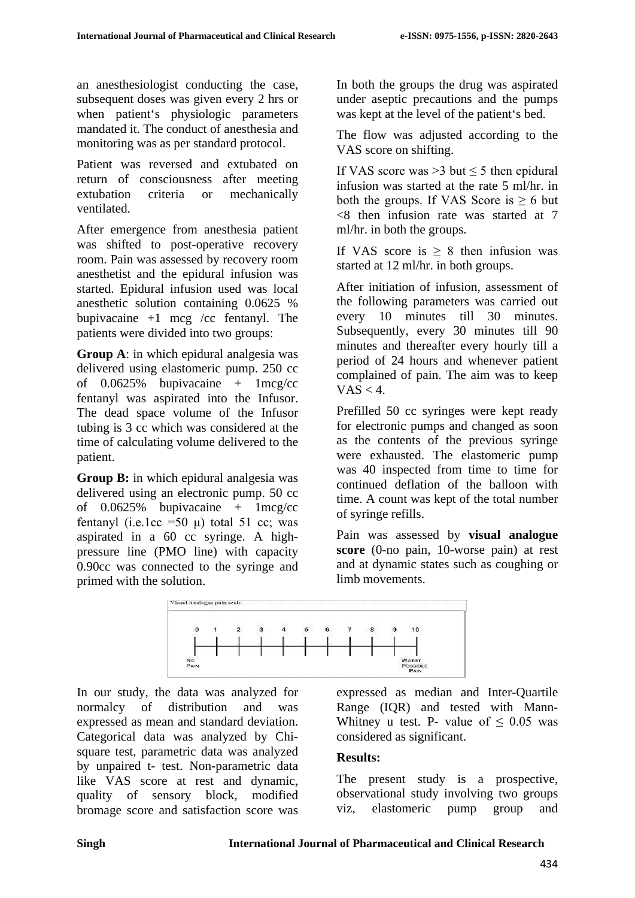an anesthesiologist conducting the case, subsequent doses was given every 2 hrs or when patient's physiologic parameters mandated it. The conduct of anesthesia and monitoring was as per standard protocol.

Patient was reversed and extubated on return of consciousness after meeting extubation criteria or mechanically ventilated.

After emergence from anesthesia patient was shifted to post-operative recovery room. Pain was assessed by recovery room anesthetist and the epidural infusion was started. Epidural infusion used was local anesthetic solution containing 0.0625 % bupivacaine  $+1$  mcg /cc fentanyl. The patients were divided into two groups:

**Group A**: in which epidural analgesia was delivered using elastomeric pump. 250 cc of  $0.0625\%$  bupivacaine + 1mcg/cc fentanyl was aspirated into the Infusor. The dead space volume of the Infusor tubing is 3 cc which was considered at the time of calculating volume delivered to the patient.

**Group B:** in which epidural analgesia was delivered using an electronic pump. 50 cc of  $0.0625\%$  bupivacaine + 1mcg/cc fentanyl (i.e.1cc =50  $\mu$ ) total 51 cc; was aspirated in a 60 cc syringe. A highpressure line (PMO line) with capacity 0.90cc was connected to the syringe and primed with the solution.

In both the groups the drug was aspirated under aseptic precautions and the pumps was kept at the level of the patient's bed.

The flow was adjusted according to the VAS score on shifting.

If VAS score was > 3 but  $\leq$  5 then epidural infusion was started at the rate 5 ml/hr. in both the groups. If VAS Score is  $> 6$  but <8 then infusion rate was started at 7 ml/hr. in both the groups.

If VAS score is  $> 8$  then infusion was started at 12 ml/hr. in both groups.

After initiation of infusion, assessment of the following parameters was carried out every 10 minutes till 30 minutes. Subsequently, every 30 minutes till 90 minutes and thereafter every hourly till a period of 24 hours and whenever patient complained of pain. The aim was to keep  $VAS < 4$ .

Prefilled 50 cc syringes were kept ready for electronic pumps and changed as soon as the contents of the previous syringe were exhausted. The elastomeric pump was 40 inspected from time to time for continued deflation of the balloon with time. A count was kept of the total number of syringe refills.

Pain was assessed by **visual analogue score** (0-no pain, 10-worse pain) at rest and at dynamic states such as coughing or limb movements.



In our study, the data was analyzed for normalcy of distribution and was expressed as mean and standard deviation. Categorical data was analyzed by Chisquare test, parametric data was analyzed by unpaired t- test. Non-parametric data like VAS score at rest and dynamic, quality of sensory block, modified bromage score and satisfaction score was

expressed as median and Inter-Quartile Range (IQR) and tested with Mann-Whitney u test. P- value of  $\leq 0.05$  was considered as significant.

## **Results:**

The present study is a prospective, observational study involving two groups viz, elastomeric pump group and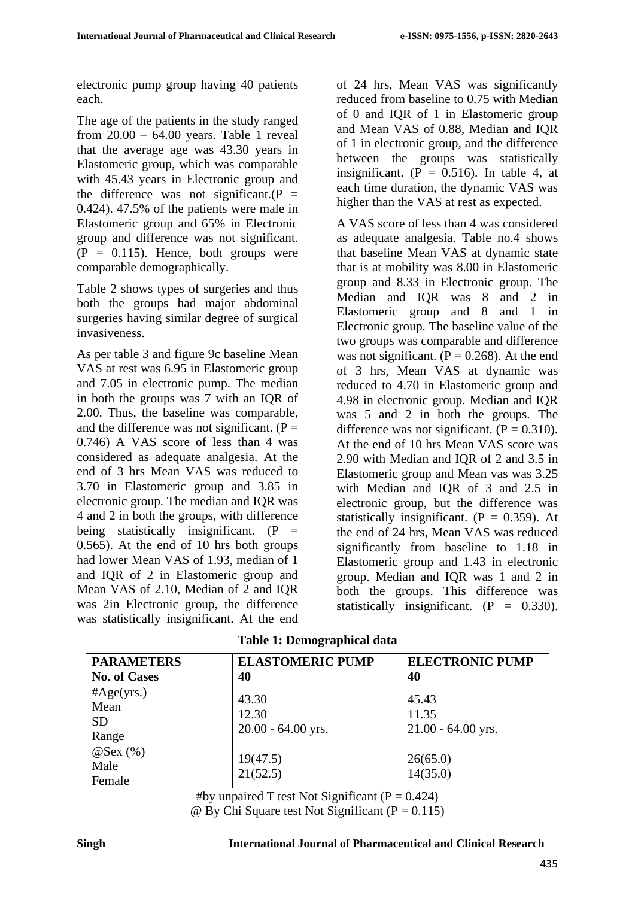electronic pump group having 40 patients each.

The age of the patients in the study ranged from  $20.00 - 64.00$  years. Table 1 reveal that the average age was 43.30 years in Elastomeric group, which was comparable with 45.43 years in Electronic group and the difference was not significant.( $P =$ 0.424). 47.5% of the patients were male in Elastomeric group and 65% in Electronic group and difference was not significant.  $(P = 0.115)$ . Hence, both groups were comparable demographically.

Table 2 shows types of surgeries and thus both the groups had major abdominal surgeries having similar degree of surgical invasiveness.

As per table 3 and figure 9c baseline Mean VAS at rest was 6.95 in Elastomeric group and 7.05 in electronic pump. The median in both the groups was 7 with an IQR of 2.00. Thus, the baseline was comparable, and the difference was not significant.  $(P =$ 0.746) A VAS score of less than 4 was considered as adequate analgesia. At the end of 3 hrs Mean VAS was reduced to 3.70 in Elastomeric group and 3.85 in electronic group. The median and IQR was 4 and 2 in both the groups, with difference being statistically insignificant.  $(P =$ 0.565). At the end of 10 hrs both groups had lower Mean VAS of 1.93, median of 1 and IQR of 2 in Elastomeric group and Mean VAS of 2.10, Median of 2 and IQR was 2in Electronic group, the difference was statistically insignificant. At the end of 24 hrs, Mean VAS was significantly reduced from baseline to 0.75 with Median of 0 and IQR of 1 in Elastomeric group and Mean VAS of 0.88, Median and IQR of 1 in electronic group, and the difference between the groups was statistically insignificant. ( $P = 0.516$ ). In table 4, at each time duration, the dynamic VAS was higher than the VAS at rest as expected.

A VAS score of less than 4 was considered as adequate analgesia. Table no.4 shows that baseline Mean VAS at dynamic state that is at mobility was 8.00 in Elastomeric group and 8.33 in Electronic group. The Median and IQR was 8 and 2 in Elastomeric group and 8 and 1 in Electronic group. The baseline value of the two groups was comparable and difference was not significant.  $(P = 0.268)$ . At the end of 3 hrs, Mean VAS at dynamic was reduced to 4.70 in Elastomeric group and 4.98 in electronic group. Median and IQR was 5 and 2 in both the groups. The difference was not significant.  $(P = 0.310)$ . At the end of 10 hrs Mean VAS score was 2.90 with Median and IQR of 2 and 3.5 in Elastomeric group and Mean vas was 3.25 with Median and IQR of 3 and 2.5 in electronic group, but the difference was statistically insignificant.  $(P = 0.359)$ . At the end of 24 hrs, Mean VAS was reduced significantly from baseline to 1.18 in Elastomeric group and 1.43 in electronic group. Median and IQR was 1 and 2 in both the groups. This difference was statistically insignificant.  $(P = 0.330)$ .

|  | <b>Table 1: Demographical data</b> |  |
|--|------------------------------------|--|
|--|------------------------------------|--|

| <b>PARAMETERS</b>                        | <b>ELASTOMERIC PUMP</b>                | <b>ELECTRONIC PUMP</b>                 |  |  |  |  |  |
|------------------------------------------|----------------------------------------|----------------------------------------|--|--|--|--|--|
| <b>No. of Cases</b>                      | 40                                     | 40                                     |  |  |  |  |  |
| #Age(yrs.)<br>Mean<br><b>SD</b><br>Range | 43.30<br>12.30<br>$20.00 - 64.00$ yrs. | 45.43<br>11.35<br>$21.00 - 64.00$ yrs. |  |  |  |  |  |
| $@$ Sex $(\%)$<br>Male<br>Female         | 19(47.5)<br>21(52.5)                   | 26(65.0)<br>14(35.0)                   |  |  |  |  |  |

#by unpaired T test Not Significant ( $P = 0.424$ )

 $\omega$  By Chi Square test Not Significant (P = 0.115)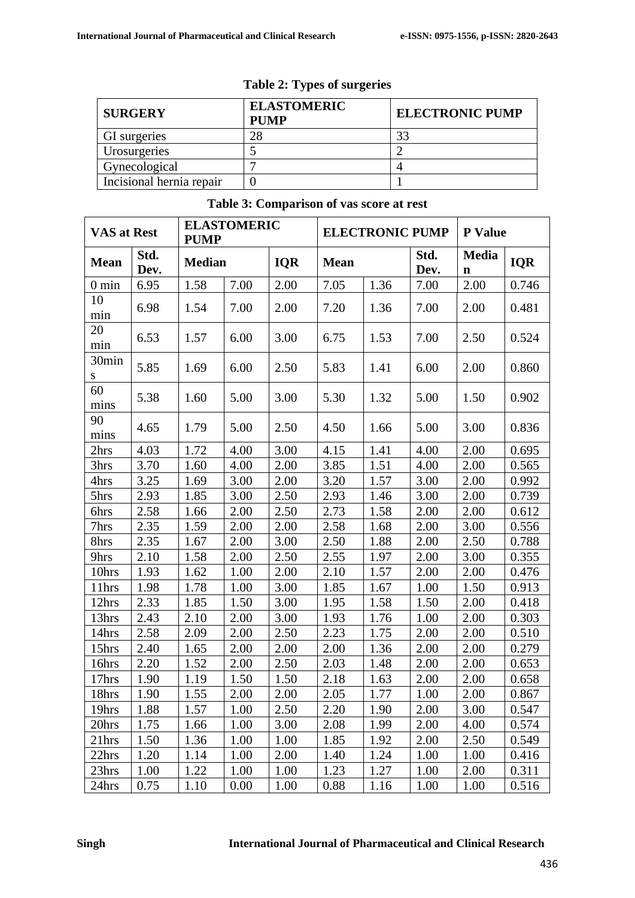| <b>SURGERY</b>           | <b>ELASTOMERIC</b><br><b>PUMP</b> | <b>ELECTRONIC PUMP</b> |  |  |  |  |
|--------------------------|-----------------------------------|------------------------|--|--|--|--|
| GI surgeries             | 28                                | 33                     |  |  |  |  |
| Urosurgeries             |                                   |                        |  |  |  |  |
| Gynecological            |                                   |                        |  |  |  |  |
| Incisional hernia repair |                                   |                        |  |  |  |  |

#### **Table 2: Types of surgeries**

#### VAS at Rest **ELASTOMERIC PUMP ELECTRONIC PUMP P Value** Mean **Std.** Dev. **Dev. Median IQR Mean Std. Dev. Media**  $\frac{m}{n}$  **IQR** 0 min | 6.95 | 1.58 | 7.00 | 2.00 | 7.05 | 1.36 | 7.00 | 2.00 | 0.746 10 min 6.98 1.54 7.00 2.00 7.20 1.36 7.00 2.00 0.481 20 min 6.53 1.57 6.00 3.00 6.75 1.53 7.00 2.50 0.524 30min s 5.85 | 1.69 | 6.00 | 2.50 | 5.83 | 1.41 | 6.00 | 2.00 | 0.860 60  $\frac{60}{\text{mins}}$  5.38 1.60 5.00 3.00 5.30 1.32 5.00 1.50 0.902 90  $\frac{50}{\text{mins}}$  4.65 1.79 5.00 2.50 4.50 1.66 5.00 3.00 0.836 2hrs | 4.03 | 1.72 | 4.00 | 3.00 | 4.15 | 1.41 | 4.00 | 2.00 | 0.695 3hrs | 3.70 | 1.60 | 4.00 | 2.00 | 3.85 | 1.51 | 4.00 | 2.00 | 0.565 4hrs | 3.25 | 1.69 | 3.00 | 2.00 | 3.20 | 1.57 | 3.00 | 2.00 | 0.992 5hrs 2.93 1.85 3.00 2.50 2.93 1.46 3.00 2.00 0.739 6hrs 2.58 1.66 2.00 2.50 2.73 1.58 2.00 2.00 0.612 7hrs 2.35 1.59 2.00 2.00 2.58 1.68 2.00 3.00 0.556 8hrs | 2.35 | 1.67 | 2.00 | 3.00 | 2.50 | 1.88 | 2.00 | 2.50 | 0.788 9hrs 2.10 1.58 2.00 2.50 2.55 1.97 2.00 3.00 0.355 10hrs 1.93 1.62 1.00 2.00 2.10 1.57 2.00 2.00 0.476 11hrs 1.98 1.78 1.00 3.00 1.85 1.67 1.00 1.50 0.913 12hrs 2.33 1.85 1.50 3.00 1.95 1.58 1.50 2.00 0.418 13hrs 2.43 2.10 2.00 3.00 1.93 1.76 1.00 2.00 0.303 14hrs 2.58 2.09 2.00 2.50 2.23 1.75 2.00 2.00 0.510 15hrs 2.40 1.65 2.00 2.00 2.00 1.36 2.00 2.00 0.279 16hrs 2.20 1.52 2.00 2.50 2.03 1.48 2.00 2.00 0.653 17hrs 1.90 1.19 1.50 1.50 2.18 1.63 2.00 2.00 0.658 18hrs 1.90 1.55 2.00 2.00 2.05 1.77 1.00 2.00 0.867 19hrs | 1.88 | 1.57 | 1.00 | 2.50 | 2.20 | 1.90 | 2.00 | 3.00 | 0.547 20hrs 1.75 1.66 1.00 3.00 2.08 1.99 2.00 4.00 0.574 21hrs 1.50 1.36 1.00 1.00 1.85 1.92 2.00 2.50 0.549 22hrs | 1.20 | 1.14 | 1.00 | 2.00 | 1.40 | 1.24 | 1.00 | 1.00 | 0.416

23hrs | 1.00 | 1.22 | 1.00 | 1.00 | 1.23 | 1.27 | 1.00 | 2.00 | 0.311 24hrs | 0.75 | 1.10 | 0.00 | 1.00 | 0.88 | 1.16 | 1.00 | 1.00 | 0.516

#### **Table 3: Comparison of vas score at rest**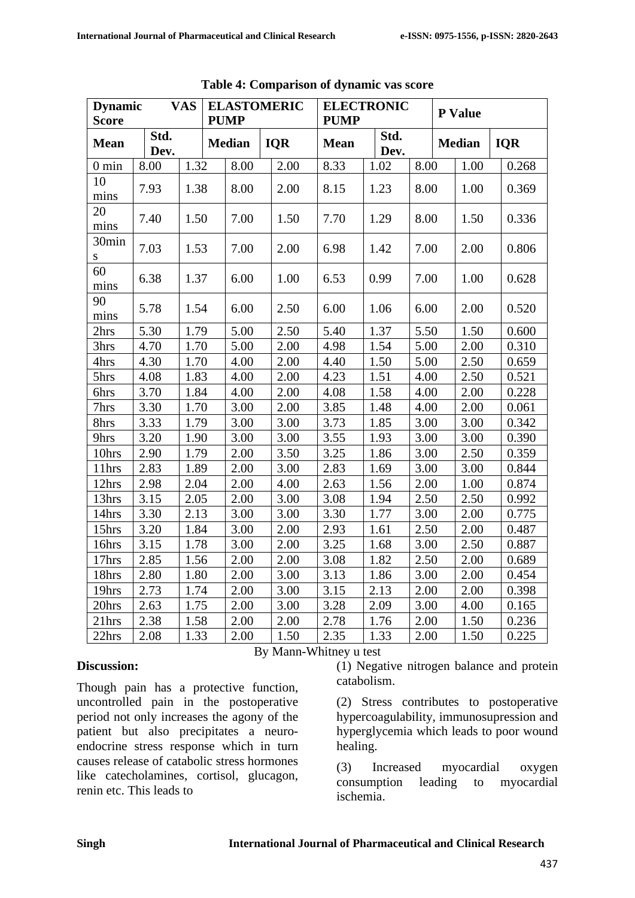| <b>Score</b>      | <b>VAS</b><br><b>Dynamic</b> |      |  | <b>ELASTOMERIC</b><br><b>PUMP</b> |  | <b>ELECTRONIC</b><br><b>PUMP</b> |             |              | <b>P</b> Value |  |               |       |            |  |
|-------------------|------------------------------|------|--|-----------------------------------|--|----------------------------------|-------------|--------------|----------------|--|---------------|-------|------------|--|
| <b>Mean</b>       | Std.<br>Dev.                 |      |  | <b>Median</b>                     |  | <b>IQR</b>                       | <b>Mean</b> | Std.<br>Dev. |                |  | <b>Median</b> |       | <b>IQR</b> |  |
| $0 \text{ min}$   | 8.00                         | 1.32 |  | 8.00                              |  | 2.00                             | 8.33        | 1.02         | 8.00           |  | 1.00          |       | 0.268      |  |
| 10<br>mins        | 7.93                         | 1.38 |  | 8.00                              |  | 2.00                             | 8.15        | 1.23         | 8.00           |  | 1.00          |       | 0.369      |  |
| 20<br>mins        | 7.40                         | 1.50 |  | 7.00                              |  | 1.50                             | 7.70        | 1.29         | 8.00           |  | 1.50          |       | 0.336      |  |
| 30min<br>S        | 7.03                         | 1.53 |  | 7.00                              |  | 2.00                             | 6.98        | 1.42         | 7.00           |  | 2.00          |       | 0.806      |  |
| 60<br>mins        | 6.38                         | 1.37 |  | 6.00                              |  | 1.00                             | 6.53        | 0.99         | 7.00           |  | 1.00          |       | 0.628      |  |
| 90<br>mins        | 5.78                         | 1.54 |  | 6.00                              |  | 2.50                             | 6.00        | 1.06         | 6.00           |  | 2.00          |       | 0.520      |  |
| 2hrs              | 5.30                         | 1.79 |  | 5.00                              |  | 2.50                             | 5.40        | 1.37         | 5.50           |  | 1.50          |       | 0.600      |  |
| 3hrs              | 4.70                         | 1.70 |  | 5.00                              |  | 2.00                             | 4.98        | 1.54         | 5.00           |  | 2.00          |       | 0.310      |  |
| 4hrs              | 4.30                         | 1.70 |  | 4.00                              |  | 2.00                             | 4.40        | 1.50         | 5.00           |  | 2.50          |       | 0.659      |  |
| 5hrs              | 4.08                         | 1.83 |  | 4.00                              |  | 2.00                             | 4.23        | 1.51         | 4.00           |  | 2.50          |       | 0.521      |  |
| 6hrs              | 3.70                         | 1.84 |  | 4.00                              |  | 2.00                             | 4.08        | 1.58         | 4.00           |  | 2.00          |       | 0.228      |  |
| 7hrs              | 3.30                         | 1.70 |  | 3.00                              |  | 2.00                             | 3.85        | 1.48         | 4.00           |  | 2.00          |       | 0.061      |  |
| 8hrs              | 3.33                         | 1.79 |  | 3.00                              |  | 3.00                             | 3.73        | 1.85         | 3.00           |  | 3.00          |       | 0.342      |  |
| 9hrs              | 3.20                         | 1.90 |  | 3.00                              |  | 3.00                             | 3.55        | 1.93         | 3.00           |  | 3.00          |       | 0.390      |  |
| 10hrs             | 2.90                         | 1.79 |  | 2.00                              |  | 3.50                             | 3.25        | 1.86         | 3.00           |  | 2.50          | 0.359 |            |  |
| 11hrs             | 2.83                         | 1.89 |  | 2.00                              |  | 3.00                             | 2.83        | 1.69         | 3.00           |  | 3.00          | 0.844 |            |  |
| 12hrs             | 2.98                         | 2.04 |  | 2.00                              |  | 4.00                             | 2.63        | 1.56         | 2.00           |  | 1.00          |       | 0.874      |  |
| 13hrs             | 3.15                         | 2.05 |  | 2.00                              |  | 3.00                             | 3.08        | 1.94         | 2.50           |  | 2.50          |       | 0.992      |  |
| 14hrs             | 3.30                         | 2.13 |  | 3.00                              |  | 3.00                             | 3.30        | 1.77         | 3.00           |  | 2.00          |       | 0.775      |  |
| 15hrs             | 3.20                         | 1.84 |  | 3.00                              |  | 2.00                             | 2.93        | 1.61         | 2.50           |  | 2.00          |       | 0.487      |  |
| 16hrs             | 3.15                         | 1.78 |  | 3.00                              |  | 2.00                             | 3.25        | 1.68         | 3.00           |  | 2.50          |       | 0.887      |  |
| 17hrs             | 2.85                         | 1.56 |  | 2.00                              |  | 2.00                             | 3.08        | 1.82         | 2.50           |  | 2.00          |       | 0.689      |  |
| 18hrs             | 2.80                         | 1.80 |  | 2.00                              |  | 3.00                             | 3.13        | 1.86         | 3.00           |  | 2.00          |       | 0.454      |  |
| 19hrs             | 2.73                         | 1.74 |  | 2.00                              |  | 3.00                             | 3.15        | 2.13         | 2.00           |  | 2.00          |       | 0.398      |  |
| 20hrs             | 2.63                         | 1.75 |  | 2.00                              |  | 3.00                             | 3.28        | 2.09         | 3.00           |  | 4.00          |       | 0.165      |  |
| 21 <sub>hrs</sub> | 2.38                         | 1.58 |  | 2.00                              |  | 2.00                             | 2.78        | 1.76         | 2.00           |  | 1.50          | 0.236 |            |  |
| 22hrs             | 2.08                         | 1.33 |  | 2.00                              |  | 1.50                             | 2.35        | 1.33         | 2.00           |  | 1.50          |       | 0.225      |  |

**Table 4: Comparison of dynamic vas score**

#### **Discussion:**

Though pain has a protective function, uncontrolled pain in the postoperative period not only increases the agony of the patient but also precipitates a neuroendocrine stress response which in turn causes release of catabolic stress hormones like catecholamines, cortisol, glucagon, renin etc. This leads to

By Mann-Whitney u test

(1) Negative nitrogen balance and protein catabolism.

(2) Stress contributes to postoperative hypercoagulability, immunosupression and hyperglycemia which leads to poor wound healing.

(3) Increased myocardial oxygen consumption leading to myocardial ischemia.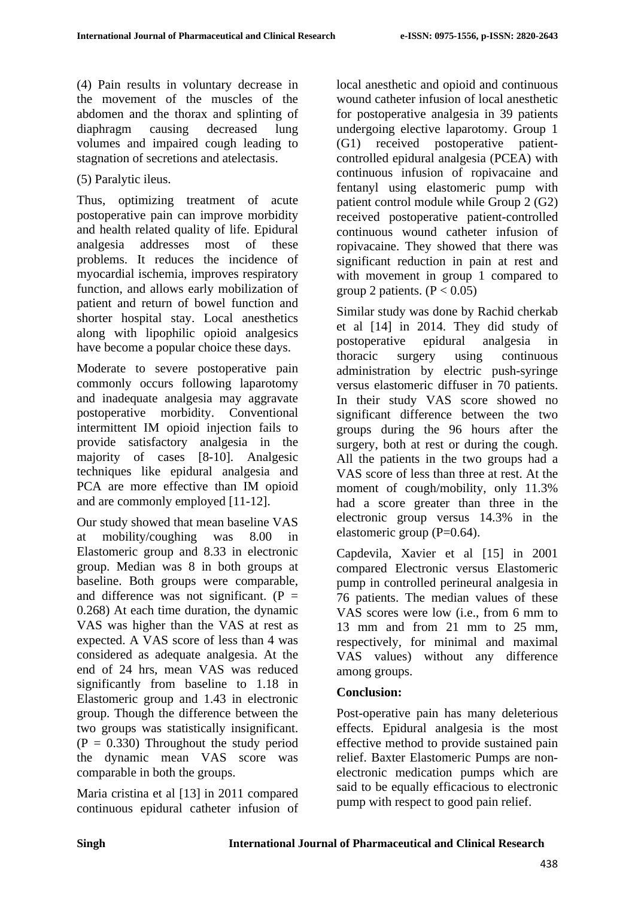(4) Pain results in voluntary decrease in the movement of the muscles of the abdomen and the thorax and splinting of diaphragm causing decreased lung volumes and impaired cough leading to stagnation of secretions and atelectasis.

#### (5) Paralytic ileus.

Thus, optimizing treatment of acute postoperative pain can improve morbidity and health related quality of life. Epidural analgesia addresses most of these problems. It reduces the incidence of myocardial ischemia, improves respiratory function, and allows early mobilization of patient and return of bowel function and shorter hospital stay. Local anesthetics along with lipophilic opioid analgesics have become a popular choice these days.

Moderate to severe postoperative pain commonly occurs following laparotomy and inadequate analgesia may aggravate postoperative morbidity. Conventional intermittent IM opioid injection fails to provide satisfactory analgesia in the majority of cases [8-10]. Analgesic techniques like epidural analgesia and PCA are more effective than IM opioid and are commonly employed [11-12].

Our study showed that mean baseline VAS at mobility/coughing was 8.00 in Elastomeric group and 8.33 in electronic group. Median was 8 in both groups at baseline. Both groups were comparable, and difference was not significant.  $(P =$ 0.268) At each time duration, the dynamic VAS was higher than the VAS at rest as expected. A VAS score of less than 4 was considered as adequate analgesia. At the end of 24 hrs, mean VAS was reduced significantly from baseline to 1.18 in Elastomeric group and 1.43 in electronic group. Though the difference between the two groups was statistically insignificant.  $(P = 0.330)$  Throughout the study period the dynamic mean VAS score was comparable in both the groups.

Maria cristina et al [13] in 2011 compared continuous epidural catheter infusion of local anesthetic and opioid and continuous wound catheter infusion of local anesthetic for postoperative analgesia in 39 patients undergoing elective laparotomy. Group 1 (G1) received postoperative patientcontrolled epidural analgesia (PCEA) with continuous infusion of ropivacaine and fentanyl using elastomeric pump with patient control module while Group 2 (G2) received postoperative patient-controlled continuous wound catheter infusion of ropivacaine. They showed that there was significant reduction in pain at rest and with movement in group 1 compared to group 2 patients.  $(P < 0.05)$ 

Similar study was done by Rachid cherkab et al [14] in 2014. They did study of postoperative epidural analgesia in thoracic surgery using continuous administration by electric push-syringe versus elastomeric diffuser in 70 patients. In their study VAS score showed no significant difference between the two groups during the 96 hours after the surgery, both at rest or during the cough. All the patients in the two groups had a VAS score of less than three at rest. At the moment of cough/mobility, only 11.3% had a score greater than three in the electronic group versus 14.3% in the elastomeric group  $(P=0.64)$ .

Capdevila, Xavier et al [15] in 2001 compared Electronic versus Elastomeric pump in controlled perineural analgesia in 76 patients. The median values of these VAS scores were low (i.e., from 6 mm to 13 mm and from 21 mm to 25 mm, respectively, for minimal and maximal VAS values) without any difference among groups.

## **Conclusion:**

Post-operative pain has many deleterious effects. Epidural analgesia is the most effective method to provide sustained pain relief. Baxter Elastomeric Pumps are nonelectronic medication pumps which are said to be equally efficacious to electronic pump with respect to good pain relief.